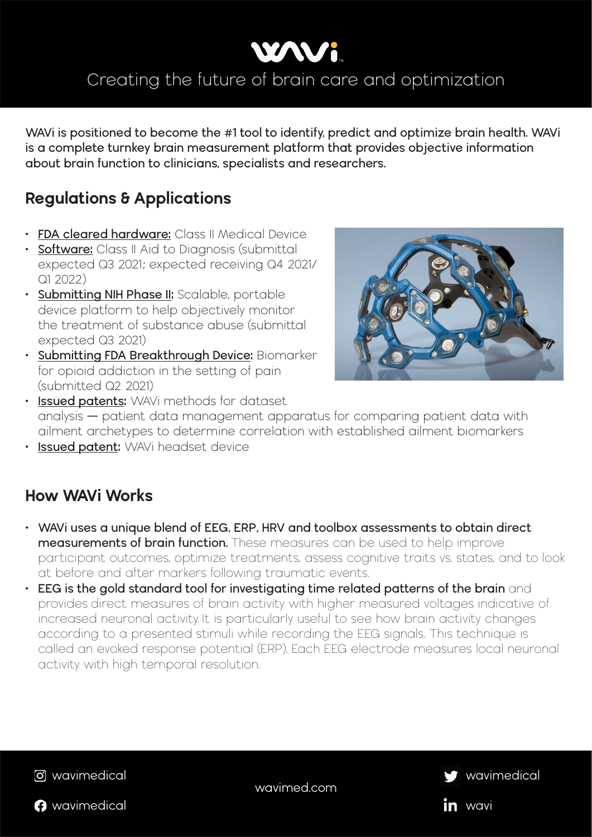

## Creating the future of brain care and optimization

wavimed.com









- **• FDA cleared hardware:** Class II Medical Device
- **• Software:** Class II Aid to Diagnosis (submittal expected Q3 2021; expected receiving Q4 2021/ Q1 2022)
- **• Submitting NIH Phase II:** Scalable, portable device platform to help objectively monitor the treatment of substance abuse (submittal expected Q3 2021)
- **• Submitting FDA Breakthrough Device:** Biomarker for opioid addiction in the setting of pain (submitted Q2 2021)



- **• Issued patents:** WAVi methods for dataset analysis — patient data management apparatus for comparing patient data with ailment archetypes to determine correlation with established ailment biomarkers
- **• Issued patent:** WAVi headset device

### **How WAVi Works**

- **• WAVi uses a unique blend of EEG, ERP, HRV and toolbox assessments to obtain direct measurements of brain function.** These measures can be used to help improve participant outcomes, optimize treatments, assess cognitive traits vs. states, and to look at before and after markers following traumatic events.
- **• EEG is the gold standard tool for investigating time related patterns of the brain** and provides direct measures of brain activity with higher measured voltages indicative of increased neuronal activity. It is particularly useful to see how brain activity changes

according to a presented stimuli while recording the EEG signals. This technique is called an evoked response potential (ERP). Each EEG electrode measures local neuronal activity with high temporal resolution.

**WAVi is positioned to become the #1 tool to identify, predict and optimize brain health. WAVi is a complete turnkey brain measurement platform that provides objective information about brain function to clinicians, specialists and researchers.**

### **Regulations & Applications**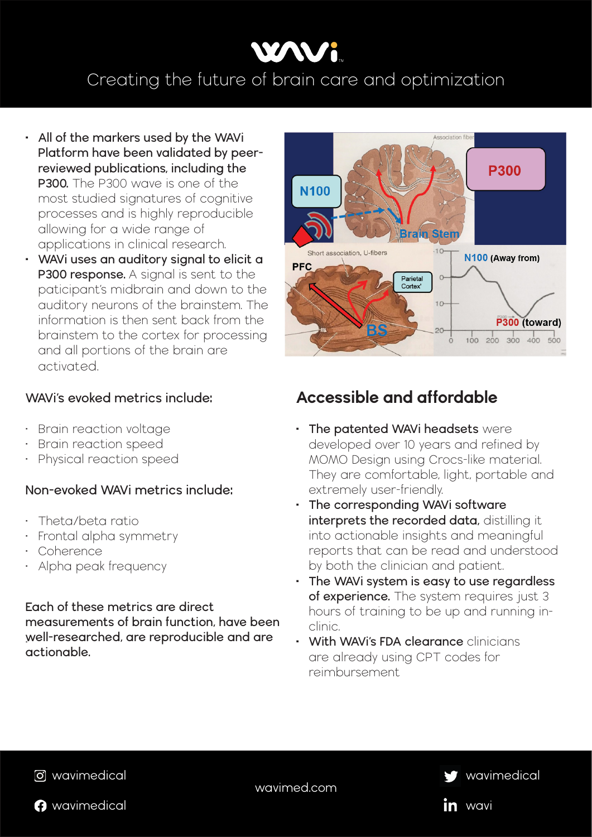# WWW.

## Creating the future of brain care and optimization

wavimed.com









- Brain reaction voltage
- Brain reaction speed
- Physical reaction speed
- **• All of the markers used by the WAVi Platform have been validated by peerreviewed publications, including the P300.** The P300 wave is one of the most studied signatures of cognitive processes and is highly reproducible allowing for a wide range of applications in clinical research.
- **• WAVi uses an auditory signal to elicit a P300 response.** A signal is sent to the paticipant's midbrain and down to the auditory neurons of the brainstem. The information is then sent back from the brainstem to the cortex for processing and all portions of the brain are activated.

#### **WAVi's evoked metrics include:**

#### **Non-evoked WAVi metrics include:**

- Theta/beta ratio
- Frontal alpha symmetry
- Coherence
- Alpha peak frequency

### **Each of these metrics are direct measurements of brain function, have been**



• **well-researched, are reproducible and are actionable.** 

### **Accessible and affordable**

- **• The patented WAVi headsets** were developed over 10 years and refined by MOMO Design using Crocs-like material. They are comfortable, light, portable and extremely user-friendly.
- **• The corresponding WAVi software interprets the recorded data,** distilling it into actionable insights and meaningful reports that can be read and understood by both the clinician and patient.
- **• The WAVi system is easy to use regardless of experience.** The system requires just 3 hours of training to be up and running inclinic.

**• With WAVi's FDA clearance** clinicians are already using CPT codes for reimbursement